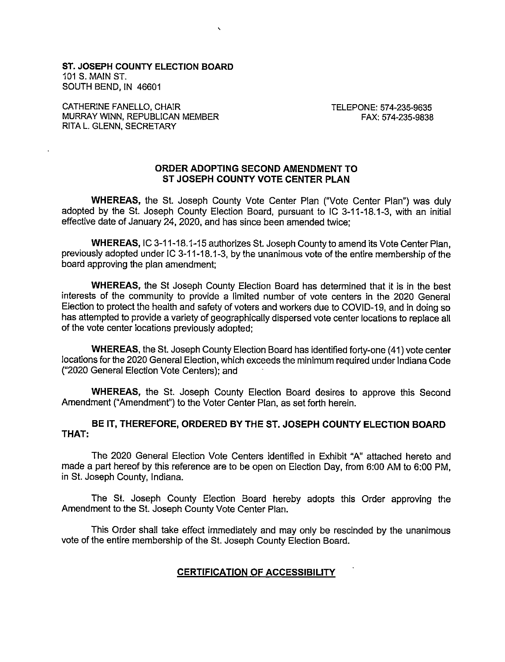**ST. JOSEPH COUNTY ELECTION BOARD** 101 S. MAIN ST. SOUTH BEND, IN 46601

CATHERINE FANELLO, CHAIR MURRAY WINN, REPUBLICAN MEMBER RITA L. GLENN, SECRETARY

TELEPONE: 574-235-9635 FAX: 574-235-9838

### ORDER ADOPTING SECOND AMENDMENT TO ST JOSEPH COUNTY VOTE CENTER PLAN

WHEREAS, the St. Joseph County Vote Center Plan ("Vote Center Plan") was duly adopted by the St. Joseph County Election Board, pursuant to IC 3-11-18.1-3, with an initial effective date of January 24, 2020, and has since been amended twice;

WHEREAS, IC 3-11-18.1-15 authorizes St. Joseph County to amend its Vote Center Plan, previously adopted under IC 3-11-18.1-3, by the unanimous vote of the entire membership of the board approving the plan amendment:

**WHEREAS, the St Joseph County Election Board has determined that it is in the best** interests of the community to provide a limited number of vote centers in the 2020 General Election to protect the health and safety of voters and workers due to COVID-19, and in doing so has attempted to provide a variety of geographically dispersed vote center locations to replace all of the vote center locations previously adopted:

WHEREAS, the St. Joseph County Election Board has identified forty-one (41) vote center locations for the 2020 General Election, which exceeds the minimum required under Indiana Code ("2020 General Election Vote Centers); and

WHEREAS, the St. Joseph County Election Board desires to approve this Second Amendment ("Amendment") to the Voter Center Plan, as set forth herein.

BE IT, THEREFORE, ORDERED BY THE ST. JOSEPH COUNTY ELECTION BOARD THAT:

The 2020 General Election Vote Centers identified in Exhibit "A" attached hereto and made a part hereof by this reference are to be open on Election Day, from 6:00 AM to 6:00 PM, in St. Joseph County, Indiana.

The St. Joseph County Election Board hereby adopts this Order approving the Amendment to the St. Joseph County Vote Center Plan.

This Order shall take effect immediately and may only be rescinded by the unanimous vote of the entire membership of the St. Joseph County Election Board.

## **CERTIFICATION OF ACCESSIBILITY**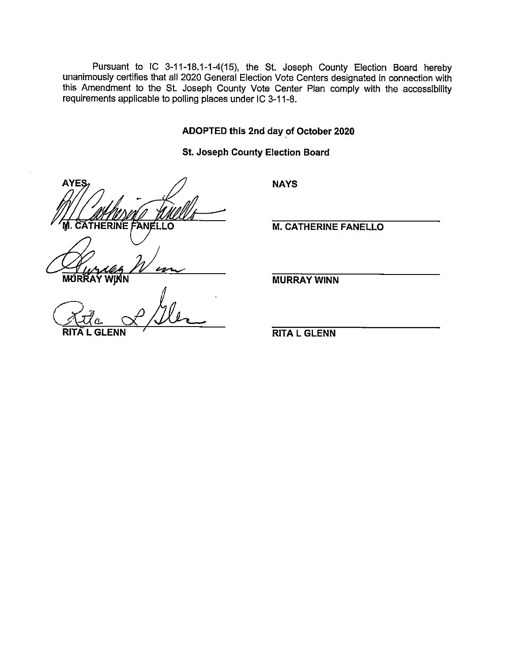Pursuant to IC 3-11-18.1-1-4(15), the St. Joseph County Election Board hereby unanimously certifies that all 2020 General Election Vote Centers designated in connection with this Amendment to the St. Joseph County Vote Center Plan comply with the accessibility requirements applicable to polling places under IC 3-11-8.

ADOPTED this 2nd day of October 2020

**NAYS** 

**St. Joseph County Election Board** 

**AYES THERINE** ח ו

MUR

**M. CATHERINE FANELLO** 

**MURRAY WINN** 

**RITA L GLENN**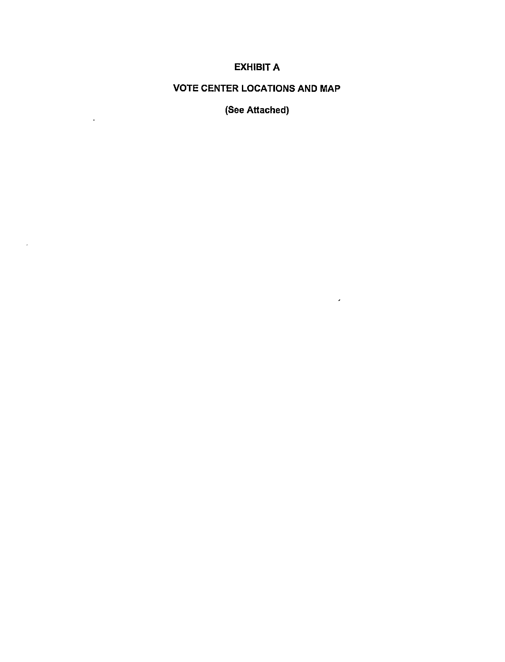# **EXHIBIT A**

## **VOTE CENTER LOCATIONS AND MAP**

(See Attached)

 $\sim 10^{11}$ 

 $\mathcal{L}$ 

 $\sim$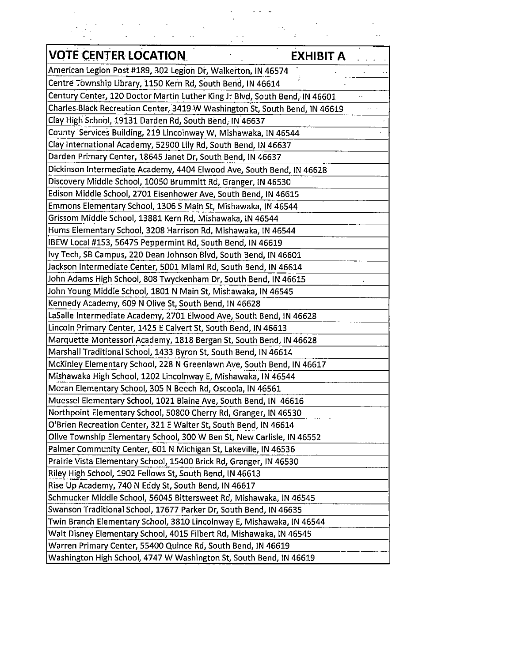| <b>VOTE CENTER LOCATION</b>                                                 | EXHIBIT A |
|-----------------------------------------------------------------------------|-----------|
| American Legion Post #189, 302 Legion Dr, Walkerton, IN 46574               |           |
| Centre Township Library, 1150 Kern Rd, South Bend, IN 46614                 |           |
| Century Center, 120 Doctor Martin Luther King Jr Blvd, South Bend, IN 46601 |           |
| Charles Black Recreation Center, 3419 W Washington St, South Bend, IN 46619 |           |
| Clay High School, 19131 Darden Rd, South Bend, IN 46637                     |           |
| County Services Building, 219 Lincolnway W, Mishawaka, IN 46544             |           |
| Clay International Academy, 52900 Lily Rd, South Bend, IN 46637             |           |
| Darden Primary Center, 18645 Janet Dr, South Bend, IN 46637                 |           |
| Dickinson Intermediate Academy, 4404 Elwood Ave, South Bend, IN 46628       |           |
| Discovery Middle School, 10050 Brummitt Rd, Granger, IN 46530               |           |
| Edison Middle School, 2701 Eisenhower Ave, South Bend, IN 46615             |           |
| Emmons Elementary School, 1306 S Main St, Mishawaka, IN 46544               |           |
| Grissom Middle School, 13881 Kern Rd, Mishawaka, IN 46544                   |           |
| Hums Elementary School, 3208 Harrison Rd, Mishawaka, IN 46544               |           |
| IBEW Local #153, 56475 Peppermint Rd, South Bend, IN 46619                  |           |
| lvy Tech, SB Campus, 220 Dean Johnson Blvd, South Bend, IN 46601            |           |
| Jackson Intermediate Center, 5001 Miami Rd, South Bend, IN 46614            |           |
| John Adams High School, 808 Twyckenham Dr, South Bend, IN 46615             |           |
| John Young Middle School, 1801 N Main St, Mishawaka, IN 46545               |           |
| Kennedy Academy, 609 N Olive St, South Bend, IN 46628                       |           |
| LaSalle Intermediate Academy, 2701 Elwood Ave, South Bend, IN 46628         |           |
| Lincoln Primary Center, 1425 E Calvert St, South Bend, IN 46613             |           |
| Marquette Montessori Academy, 1818 Bergan St, South Bend, IN 46628          |           |
| Marshall Traditional School, 1433 Byron St, South Bend, IN 46614            |           |
| McKinley Elementary School, 228 N Greenlawn Ave, South Bend, IN 46617       |           |
| Mishawaka High School, 1202 Lincolnway E, Mishawaka, IN 46544               |           |
| Moran Elementary School, 305 N Beech Rd, Osceola, IN 46561                  |           |
| Muessel Elementary School, 1021 Blaine Ave, South Bend, IN 46616            |           |
| Northpoint Elementary School, 50800 Cherry Rd, Granger, IN 46530            |           |
| O'Brien Recreation Center, 321 E Walter St, South Bend, IN 46614            |           |
| Olive Township Elementary School, 300 W Ben St, New Carlisle, IN 46552      |           |
| Palmer Community Center, 601 N Michigan St, Lakeville, IN 46536             |           |
| Prairie Vista Elementary School, 15400 Brick Rd, Granger, IN 46530          |           |
| Riley High School, 1902 Fellows St, South Bend, IN 46613                    |           |
| Rise Up Academy, 740 N Eddy St, South Bend, IN 46617                        |           |
| Schmucker Middle School, 56045 Bittersweet Rd, Mishawaka, IN 46545          |           |
| Swanson Traditional School, 17677 Parker Dr, South Bend, IN 46635           |           |
| Twin Branch Elementary School, 3810 Lincolnway E, Mishawaka, IN 46544       |           |
| Walt Disney Elementary School, 4015 Filbert Rd, Mishawaka, IN 46545         |           |
| Warren Primary Center, 55400 Quince Rd, South Bend, IN 46619                |           |
| Washington High School, 4747 W Washington St, South Bend, IN 46619          |           |